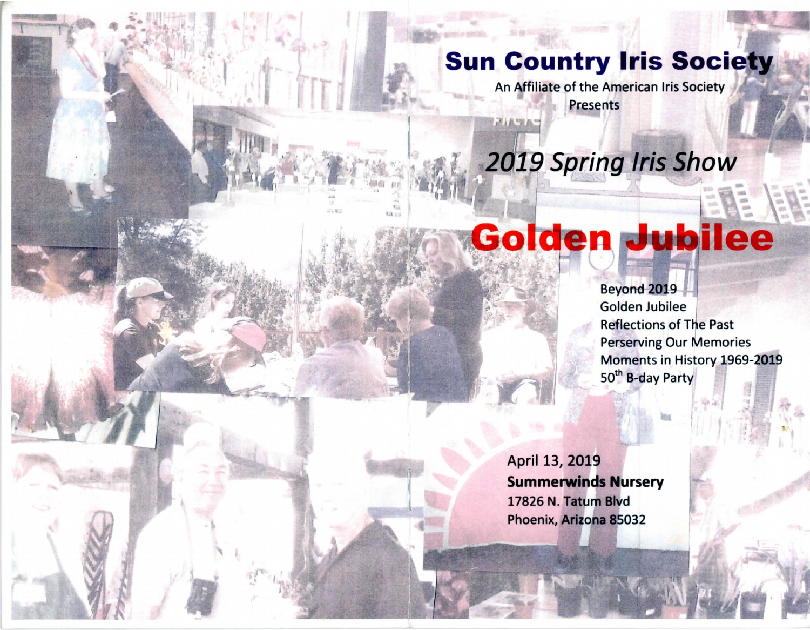## **Sun Country Iris Society**

An Affiliate of the American Iris Society Presents

# **2019 Spring Iris Show**

通信

## Golden Jubilee

Beyond 2019 Golden Jubilee Reflections of The Past Perserving Our Memories Moments in History 1969-2019 50<sup>th</sup> B-day Party

April 13, 2019 **Summerwinds Nursery** 17826 N. Tatum Blvd Phoenix, Arizona 85032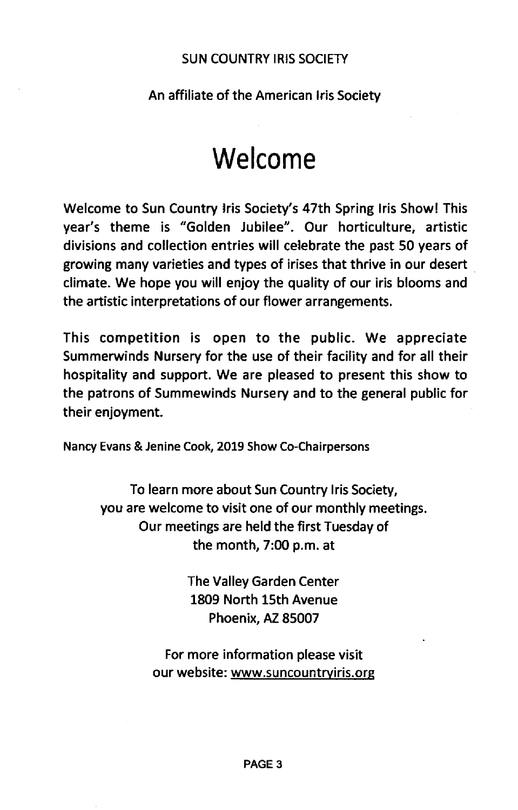#### SUN COUNTRY IRIS SOCIETY

#### An affiliate of the American Iris Society

## **Welcome**

Welcome to Sun Country Iris Society's 47th Spring Iris Show! This year's theme is "Golden Jubilee". Our horticulture, artistic divisions and collection entries will celebrate the past 50 years of growing many varieties and types of irises that thrive in our desert climate. We hope you will enjoy the quality of our iris blooms and the artistic interpretations of our flower arrangements.

This competition is open to the public. We appreciate Summerwinds Nursery for the use of their facility and for all their hospitality and support. We are pleased to present this show to the patrons of Summewinds Nursery and to the general public for their enjoyment.

Nancy Evans & Jenine Cook, 2019 Show Co-Chairpersons

To learn more about Sun Country Iris Society, you are welcome to visit one of our monthly meetings. Our meetings are held the first Tuesday of the month, 7:00 p.m. at

> The Valley Garden Center 1809 North 15th Avenue Phoenix, AZ 85007

For more information please visit our website: www.suncountryiris.org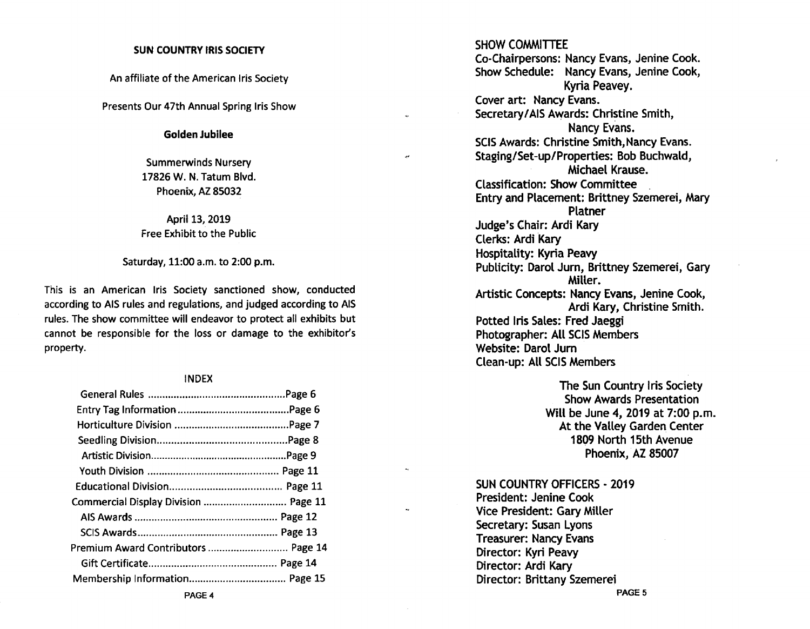#### SUN COUNTRY IRIS SOCIETY

An affiliate of the American Iris Society

Presents Our 47th Annual Spring Iris Show

Golden Jubilee

Summerwinds Nursery 17826 W. N. Tatum Blvd. Phoenix, AZ 85032

April 13, 2019 Free Exhibit to the Public

Saturday, 11:00 a.m. to 2:00 p.m.

This is an American Iris Society sanctioned show, conducted according to AIS rules and regulations, and judged according to AIS rules. The show committee will endeavor to protect all exhibits but cannot be responsible for the loss or damage to the exhibitor's property.

#### INDEX

| Commercial Display Division  Page 11 |  |
|--------------------------------------|--|
|                                      |  |
|                                      |  |
| Premium Award Contributors  Page 14  |  |
|                                      |  |
|                                      |  |

SHOW COMMITTEE Co-Chairpersons: Nancy Evans, Jenine Cook. Show Schedule: Nancy Evans, Jenine Cook, Kyria Peavey. Cover art: Nancy Evans. Secretary/AIS Awards: Christine Smith, Nancy Evans. SCIS Awards: Christine Smith, Nancy Evans. Staging/Set-up/Properties: Bob Buchwald, Michael Krause. Classification: Show Committee . Entry and Placement: Brittney Szemerei, Mary Platner Judge's Chair: Ardi Kary Clerks: Ardi Kary Hospitality: Kyria Peavy Publicity: Darol Jurn, Brittney Szemerei, Gary Miller. Artistic Concepts: Nancy Evans, Jenine Cook, Ardi Kary, Christine Smith. Potted Iris Sales: Fred Jaeggi Photographer: AU SCIS Members Website: Darol Jurn Clean-up: AU SCIS Members

> The Sun Country Iris Society Show Awards Presentation Will be June 4, 2019 at 7:00 p.m. At the Valley Garden Center 1809 North 15th Avenue Phoenix, AZ 85007

SUN COUNTRY OFFICERS - 2019 President: Jenine Cook

Vice President: Gary Miller Secretary: Susan Lyons Treasurer: Nancy Evans Director: Kyri Peavy Director: Ardi Kary Director: Brittany Szemerei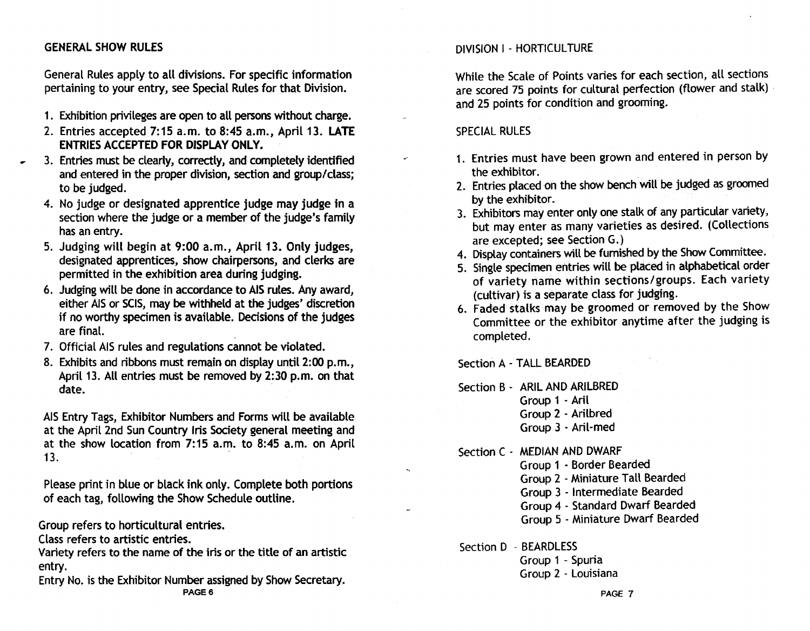#### GENERAL SHOW RULES

General Rules apply to all divisions. For specific information pertaining to your entry, see Special Rules for that Division.

- 1. Exhibition privileges are open to all persons without charge.
- 2. Entries accepted 7:15 a.m. to 8:45 a.m., April 13. LATE ENTRIES ACCEPTED FOR DISPLAY ONLY.
- 3. Entries must be clearly, correctly, and completely identified and entered in the proper division, section and group/class; to be judged.
	- 4. No judge or designated apprentice judge may judge in a section where the judge or a member of the judge's family has an entry.
	- 5. Judging will begin at 9:00 a.m., April 13. Only judges, designated apprentices, show chairpersons, and clerks are permitted in the exhibition area during judging.
	- 6. Judging will be done in accordance to AIS rules. Any award, either AIS or SCIS, may be withheld at the judges' discretion if no worthy specimen is available. Decisions of the judges are final.
	- 7. Official AIS rules and regulations cannot be violated.
	- 8. Exhibits and ribbons must remain on display until 2:00 p.m., April 13. All entries must be removed by 2:30 p.m. on that date.

AIS Entry Tags, Exhibitor Numbers and Forms will be available at the April 2nd Sun Country Iris Society general meeting and at the show location from 7: 15 a.m. to 8:45 a. m. on April 13.  $\blacksquare$ 

Please print in blue or black ink only. Complete both portions of each tag, following the Show Schedule outline.

Group refers to horticultural entries.

Class refers to artistic entries.

Variety refers to the name of the iris or the title of an artistic entry.

Entry No. is the Exhibitor Number assigned by Show Secretary. PAGE 6

#### DIVISION I - HORTICULTURE

While the Scale of Points varies for each section, all sections are scored 75 points for cultural perfection (flower and stalk) and 25 points for condition and grooming.

#### SPECIAL RULES

- 1. Entries must have been grown and entered in person by the exhibitor.
- 2. Entries placed on the show bench will be judged as groomed by the exhibitor.
- 3. Exhibitors may enter only one stalk of any particular variety, but may enter as many varieties as desired. (Collections are excepted; see Section G.)
- 4. Display containers will be furnished by the Show Committee.
- 5. Single specimen entries will be placed in alphabetical order of variety name within sections/groups. Each variety (cultivar) is a separate class for judging.
- 6. Faded stalks may be groomed or removed by the Show Committee or the exhibitor anytime after the judging is completed.

Section A - TALL BEARDED

Section B - ARIL AND ARILBRED

- Group 1 Aril
- Group 2 Arilbred
- Group 3 . Aril·med

Section C - MEDIAN AND DWARF

Group 1 . Border Bearded

- Group 2 . Miniature Tall Bearded
- Group 3 Intermediate Bearded
- Group 4 . Standard Dwarf Bearded
- Group 5 Miniature Dwarf Bearded

Section D - BEARDLESS

 $\sigma_{\rm S}$ 

Group 1 - Spuria Group 2 - Louisiana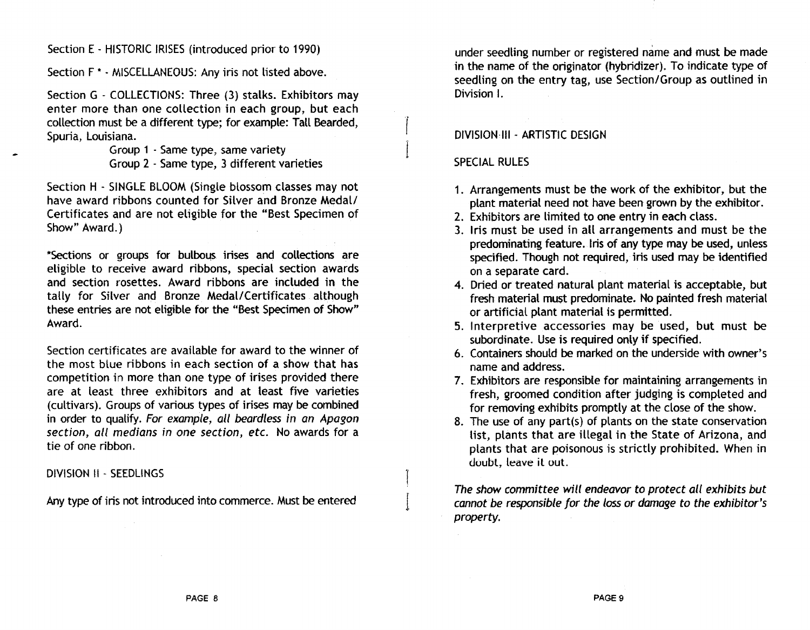Section E - HISTORIC IRISES (introduced prior to 1990)

Section F<sup>\*</sup> - MISCELLANEOUS: Any iris not listed above.

Section G - COLLECTIONS: Three (3) stalks. Exhibitors may enter more than one collection in each group, but each collection must be a different type; for example; Tall Bearded, Spuria, Louisiana.

> Group 1 - Same type, same variety Group 2 . Same type, 3 different varieties

Section H - SINGLE BLOOM (Single blossom classes may not have award ribbons counted for Silver and Bronze Medal/ Certificates and are not eligible for the "Best Specimen of Show" Award.)

\*Sections or groups for bulbous irises and collections are eligible to receive award ribbons, special section awards and section rosettes. Award ribbons are included in the tally for Silver and Bronze Medal/Certificates although these entries are not eligible for the "Best Specimen of Show" Award.

Section certificates are available for award to the winner of the most blue ribbons in each section of a show that has competition in more than one type of irises provided there are at least three exhjbitors and at least five varieties (cultivars). Groups of various types of irises may be combined in order to quatify. For example, all beardless in an Apagon section, all medians in one section, etc. No awards for a tie of one ribbon.

DIVISION II - SEEDLINGS

Any type of iris not introduced into commerce. Must be entered

under seedling number or registered name and must be made in the name of the originator (hybridizer). To indicate type of seedling on the entry tag, use Section/Group as outlined in Division I.

#### DlVISION·1I1 - ARTISTIC DESIGN

#### SPECIAL RULES

 $\mathcal{L}$ 

I

I

- 1. Arrangements must be the work of the exhibitor, but the plant material need not have been grown by the exhibitor.
- 2. Exhibitors are limited to one entry in each class.
- 3. Iris must be used in all arrangements and must be the predominating feature. Iris of any type may be used, unless specified. Though not required, jris used may be identified on a separate card.
- 4. Dried or treated natural plant material is acceptable, but fresh material must predominate. No painted fresh material or artificiat plant material is permitted.
- 5. Interpretive accessories may be used, but must be subordinate. Use is required only if specified.
- 6. Containers should be marked on the underside with owner's name and address.
- 7. Exhibitors are responsible for maintaining arrangements in fresh, groomed condition after judging is completed and for removing exhibits promptly at the dose of the show.
- 8. The use of any part(s) of plants on the state conservation list, plants that are illegal in the State of Arizona, and plants that are poisonous is strictly prohibited. When in doubt, leave it out.

The show committee will endeavor to protect all exhibits but cannot be responsible for the loss or damage to the exhibitor's property.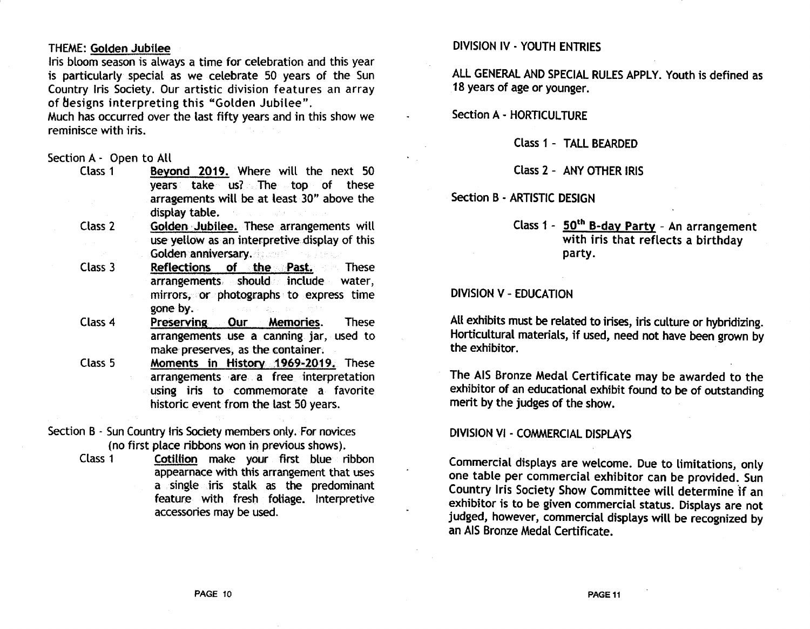#### THEME: Golden Jubilee

Iris bloom season is always a time for celebration and this year is particularly special as we celebrate 50 years of the Sun Country Iris Society. Our artistic division features an array of designs interpreting this "Golden Jubilee".

Much has occurred over the last fifty years and in this show we reminisce with iris.

## Section A - Open to All<br>Class 1 Bevo

- Beyond 2019. Where will the next 50 years take us? The top of these arragements will be at least 30" above the display table.
- Class 2 Golden Jubilee. These arrangements will use yellow as an interpretive display of this Golden anniversary.
- Class 3  $\text{Reflections}$  of the Past. These  $\text{arrangements}$  should include water. arrangements should include mirrors, or photographs to express time gone by.
- Class 4 Preserving Our Memories. These arrangements use a canning jar, used to make preserves, as the container.
- Class 5 Moments in History 1969-2019. These arrangements are a free interpretation using iris to commemorate a favorite historic event from the last 50 years.
- Section B Sun Country Iris Society members only. For novices (no first place ribbons won in previous shows).

Class 1 Cotillion make your first blue ribbon appearnace with this arrangement that uses a single iris stalk as the predominant feature with fresh foliage. Interpretive accessories may be used.

#### DIVISION IV - YOUTH ENTRIES

ALL GENERAL AND SPECIAL RULES APPLY. Youth is defined as 18 years of age or younger.

Section A - HORTICULTURE

Class 1 - TALL BEARDED

Class 2 - ANY OTHER IRIS

Section B - ARTISTIC DESIGN

#### Class 1 - 50<sup>th</sup> B-day Party - An arrangement with iris that reflects a birthday party.

#### DIVISION V - EDUCATION

All exhibits must be related to irises, iris culture or hybridizing. Horticultural materials, if used, need not have been grown by the exhibitor.

The AIS Bronze Medal Certificate may be awarded to the exhibitor of an educational exhibit found to be of outstanding merit by the judges of the show.

#### DIVISION VI - COMMERCIAL DISPLAYS

Commercial displays are welcome. Due to limitations, only one table per commercial exhibitor can be provided. Sun Country Iris Society Show Committee will determine if an exhibitor is to be given commercial status. Displays are not judged, however, commercial displays will be recognized by an AIS Bronze Medal Certificate.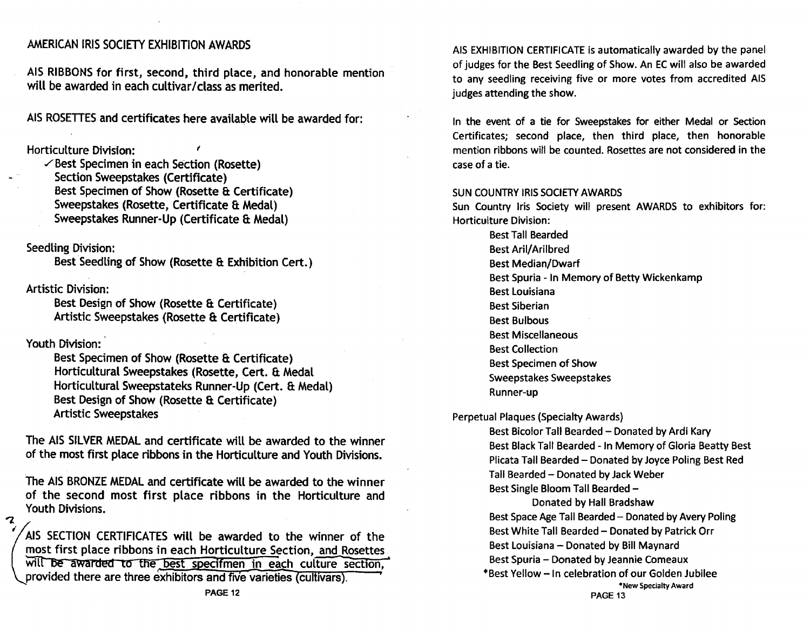#### AMERICAN IRIS SOCIETY EXHIBITION AWARDS

AIS RIBBONS for first, second, third place, and honorable mention will be awarded in each cultivar/class as merited.

AIS ROSETTES and certificates here available will be awarded for:

Horticulture Division: <sup>f</sup>

 $\checkmark$ Best Specimen in each Section (Rosette) Section Sweepstakes (Certificate) Best Specimen of Show (Rosette & Certificate) Sweepstakes (Rosette, Certificate & Medal) Sweepstakes Runner-Up (Certificate & Medal)

Seedling Division:

Best Seedling of Show (Rosette & Exhibition Cert.)

Artistic Division:

Best Design of Show (Rosette & Certificate) Artistic Sweepstakes (Rosette & Certificate)

Youth Division:

 $\mathbf 2$ 

Best Specimen of Show (Rosette & Certificate) Horticultural Sweepstakes (Rosette, Cert. & Medal Horticultural Sweepstateks Runner-Up (Cert. 8: Medal) Best Design of Show (Rosette & Certificate) Artistic Sweepstakes

The AIS SILVER MEDAL and certificate will be awarded to the winner of the most first place ribbons in the Horticulture and Youth Divisions.

The AIS BRONZE MEDAL and certificate will be awarded to the winner of the second most first place ribbons in the Horticulture and Youth Divisions.

AIS SE<br>
most 1<br>
will B<br>
provid A1S SECTION CERTIFICATES will be awarded to the winner of the most first place ribbons in each Horticulture Section, and\_Rosettes ... will be awarded to the best specifmen in each culture section, provided there are three exhibitors and five varieties (cultivars).

AIS EXHIBITION CERTIFICATE is automatically awarded by the panel of judges for the Best Seedling of Show. An EC will also be awarded to any seedling receiving five or more votes from accredited AIS judges attending the show.

In the event of a tie for Sweepstakes for either Medal or Section Certificates; second place, then third place, then honorable mention ribbons will be counted. Rosettes are not considered in the case of a tie .

#### SUN COUNTRY IRIS SOCIETY AWARDS

Sun Country Iris Society will present AWARDS to exhibitors for: Horticulture Division:

> Best Tall Bearded Best Aril/Arilbred Best Median/Dwarf Best Spuria - In Memory of Betty Wickenkamp Best Louisiana Best Siberian Best Bulbous Best Miscellaneous Best Collection Best Specimen of Show Sweepstakes Sweepstakes Runner-up

Perpetual Plaques (Specialty Awards)

Best Bicolor Tall Bearded - Donated by Ardi Kary Best Black Tall Bearded - In Memory of Gloria Beatty Best Plicata Tall Bearded - Donated by Joyce Poling Best Red Tall Bearded - Donated by Jack Weber Best Single Bloom Tall Bearded -

Donated by Hall Bradshaw Best Space Age Tall Bearded - Donated by Avery Poling Best White Tall Bearded - Donated by Patrick Orr Best Louisiana - Donated by Bill Maynard Best Spuria - Donated by Jeannie Comeaux \* Best Yellow -In celebration of our Golden Jubilee \*New Specialty Award PAGE 13